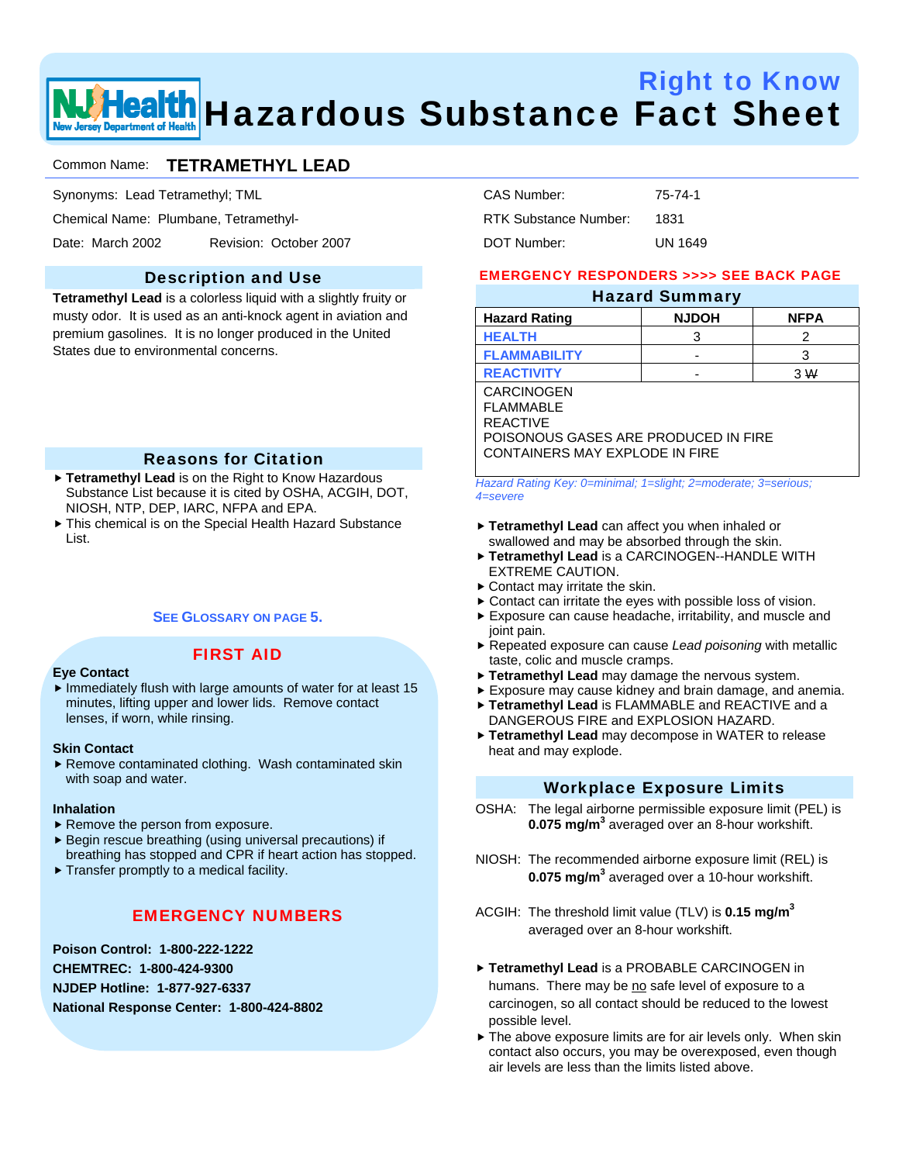# Right to Know Health Hazardous Substance Fact Sheet ew Jersey Department of Health

## Common Name: **TETRAMETHYL LEAD**

Synonyms: Lead Tetramethyl; TML

Chemical Name: Plumbane, Tetramethyl-

Date: March 2002 Revision: October 2007

## Description and Use

**Tetramethyl Lead** is a colorless liquid with a slightly fruity or musty odor. It is used as an anti-knock agent in aviation and premium gasolines. It is no longer produced in the United States due to environmental concerns.

### Reasons for Citation

- **Fetramethyl Lead** is on the Right to Know Hazardous Substance List because it is cited by OSHA, ACGIH, DOT, NIOSH, NTP, DEP, IARC, NFPA and EPA.
- $\triangleright$  This chemical is on the Special Health Hazard Substance List.

### **SEE GLOSSARY ON PAGE 5.**

# FIRST AID

#### **Eye Contact**

 $\blacktriangleright$  Immediately flush with large amounts of water for at least 15 minutes, lifting upper and lower lids. Remove contact lenses, if worn, while rinsing.

#### **Skin Contact**

 $\blacktriangleright$  Remove contaminated clothing. Wash contaminated skin with soap and water.

#### **Inhalation**

- $\blacktriangleright$  Remove the person from exposure.
- $\blacktriangleright$  Begin rescue breathing (using universal precautions) if breathing has stopped and CPR if heart action has stopped.
- $\blacktriangleright$  Transfer promptly to a medical facility.

## EMERGENCY NUMBERS

**Poison Control: 1-800-222-1222 CHEMTREC: 1-800-424-9300 NJDEP Hotline: 1-877-927-6337 National Response Center: 1-800-424-8802** 

| CAS Number:           | 75-74-1 |
|-----------------------|---------|
| RTK Substance Number: | 1831    |
| DOT Number:           | UN 1649 |

### EMERGENCY RESPONDERS >>>> SEE BACK PAGE

# Hazard Summary

| <b>Hazard Rating</b> | <b>NJDOH</b> | <b>NFPA</b> |
|----------------------|--------------|-------------|
| <b>HEALTH</b>        |              |             |
| <b>FLAMMABILITY</b>  | -            |             |
| <b>REACTIVITY</b>    | -            | 3 W         |

CARCINOGEN FLAMMABLE REACTIVE POISONOUS GASES ARE PRODUCED IN FIRE

CONTAINERS MAY EXPLODE IN FIRE *Hazard Rating Key: 0=minimal; 1=slight; 2=moderate; 3=serious;* 

*4=severe*

- **Fetramethyl Lead** can affect you when inhaled or swallowed and may be absorbed through the skin.
- **Fetramethyl Lead** is a CARCINOGEN--HANDLE WITH EXTREME CAUTION.
- $\blacktriangleright$  Contact may irritate the skin.
- $\triangleright$  Contact can irritate the eyes with possible loss of vision.
- $\blacktriangleright$  Exposure can cause headache, irritability, and muscle and joint pain.
- f Repeated exposure can cause *Lead poisoning* with metallic taste, colic and muscle cramps.
- **Fetramethyl Lead** may damage the nervous system.
- $\blacktriangleright$  Exposure may cause kidney and brain damage, and anemia.
- **Fetramethyl Lead** is FLAMMABLE and REACTIVE and a DANGEROUS FIRE and EXPLOSION HAZARD.
- **Fetramethyl Lead** may decompose in WATER to release heat and may explode.

### Workplace Exposure Limits

- OSHA: The legal airborne permissible exposure limit (PEL) is **0.075 mg/m<sup>3</sup> averaged over an 8-hour workshift.**
- NIOSH: The recommended airborne exposure limit (REL) is 0.075 mg/m<sup>3</sup> averaged over a 10-hour workshift.
- ACGIH: The threshold limit value (TLV) is **0.15 mg/m3** averaged over an 8-hour workshift.
- **Fetramethyl Lead** is a PROBABLE CARCINOGEN in humans. There may be no safe level of exposure to a carcinogen, so all contact should be reduced to the lowest possible level.
- $\blacktriangleright$  The above exposure limits are for air levels only. When skin contact also occurs, you may be overexposed, even though air levels are less than the limits listed above.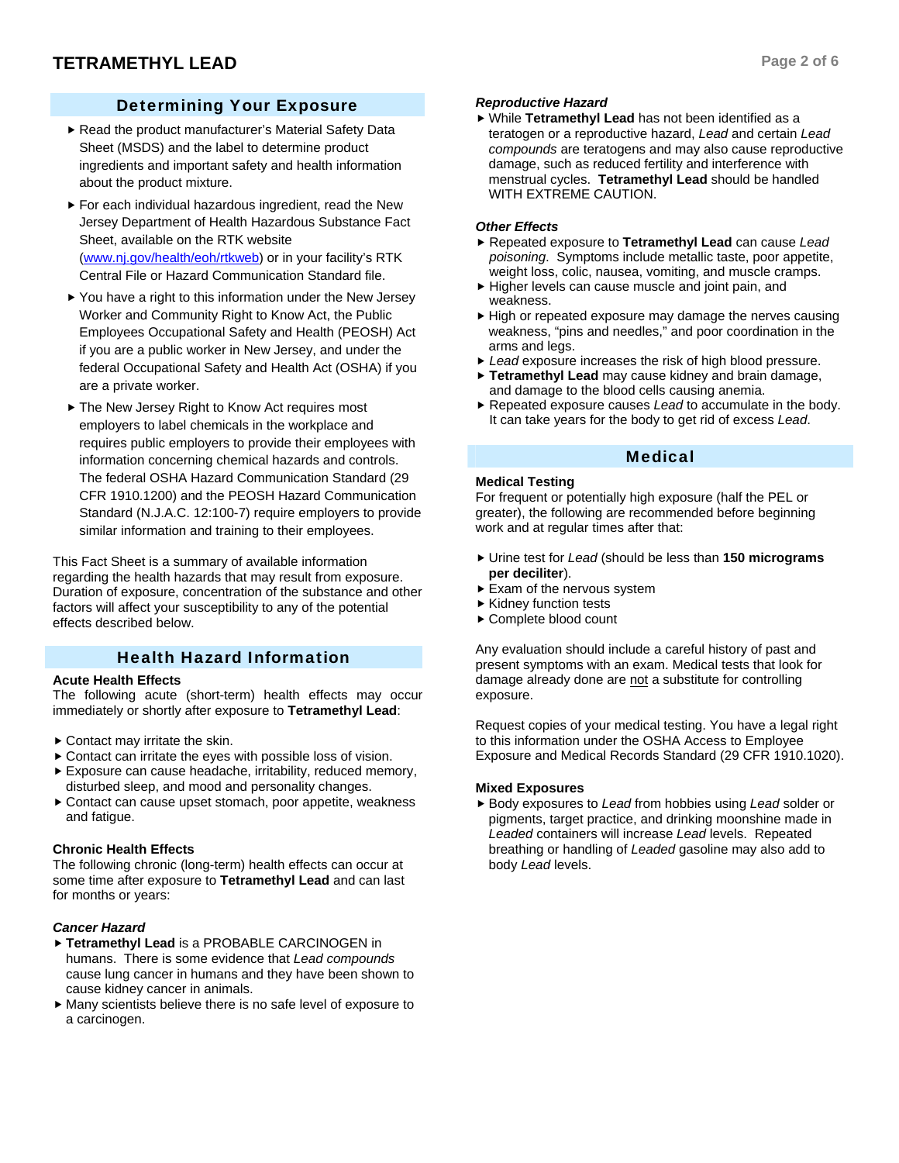## Determining Your Exposure

- Read the product manufacturer's Material Safety Data Sheet (MSDS) and the label to determine product ingredients and important safety and health information about the product mixture.
- $\blacktriangleright$  For each individual hazardous ingredient, read the New Jersey Department of Health Hazardous Substance Fact Sheet, available on the RTK website (www.nj.gov/health/eoh/rtkweb) or in your facility's RTK Central File or Hazard Communication Standard file.
- $\blacktriangleright$  You have a right to this information under the New Jersey Worker and Community Right to Know Act, the Public Employees Occupational Safety and Health (PEOSH) Act if you are a public worker in New Jersey, and under the federal Occupational Safety and Health Act (OSHA) if you are a private worker.
- ▶ The New Jersey Right to Know Act requires most employers to label chemicals in the workplace and requires public employers to provide their employees with information concerning chemical hazards and controls. The federal OSHA Hazard Communication Standard (29 CFR 1910.1200) and the PEOSH Hazard Communication Standard (N.J.A.C. 12:100-7) require employers to provide similar information and training to their employees.

This Fact Sheet is a summary of available information regarding the health hazards that may result from exposure. Duration of exposure, concentration of the substance and other factors will affect your susceptibility to any of the potential effects described below.

### Health Hazard Information

#### **Acute Health Effects**

The following acute (short-term) health effects may occur immediately or shortly after exposure to **Tetramethyl Lead**:

- $\blacktriangleright$  Contact may irritate the skin.
- $\triangleright$  Contact can irritate the eyes with possible loss of vision.
- $\blacktriangleright$  Exposure can cause headache, irritability, reduced memory, disturbed sleep, and mood and personality changes.
- $\triangleright$  Contact can cause upset stomach, poor appetite, weakness and fatigue.

#### **Chronic Health Effects**

The following chronic (long-term) health effects can occur at some time after exposure to **Tetramethyl Lead** and can last for months or years:

### *Cancer Hazard*

- **Fetramethyl Lead** is a PROBABLE CARCINOGEN in humans. There is some evidence that *Lead compounds* cause lung cancer in humans and they have been shown to cause kidney cancer in animals.
- $\blacktriangleright$  Many scientists believe there is no safe level of exposure to a carcinogen.

#### *Reproductive Hazard*

 $\triangleright$  While Tetramethyl Lead has not been identified as a teratogen or a reproductive hazard, *Lead* and certain *Lead compounds* are teratogens and may also cause reproductive damage, such as reduced fertility and interference with menstrual cycles. **Tetramethyl Lead** should be handled WITH EXTREME CAUTION.

#### *Other Effects*

- f Repeated exposure to **Tetramethyl Lead** can cause *Lead poisoning*. Symptoms include metallic taste, poor appetite, weight loss, colic, nausea, vomiting, and muscle cramps.
- $\blacktriangleright$  Higher levels can cause muscle and joint pain, and weakness.
- $\blacktriangleright$  High or repeated exposure may damage the nerves causing weakness, "pins and needles," and poor coordination in the arms and legs.
- ► Lead exposure increases the risk of high blood pressure.
- **Fetramethyl Lead** may cause kidney and brain damage, and damage to the blood cells causing anemia.
- f Repeated exposure causes *Lead* to accumulate in the body. It can take years for the body to get rid of excess *Lead*.

### Medical

#### **Medical Testing**

For frequent or potentially high exposure (half the PEL or greater), the following are recommended before beginning work and at regular times after that:

- ▶ Urine test for *Lead* (should be less than **150 micrograms per deciliter**).
- $\blacktriangleright$  Exam of the nervous system
- $\blacktriangleright$  Kidney function tests
- ▶ Complete blood count

Any evaluation should include a careful history of past and present symptoms with an exam. Medical tests that look for damage already done are not a substitute for controlling exposure.

Request copies of your medical testing. You have a legal right to this information under the OSHA Access to Employee Exposure and Medical Records Standard (29 CFR 1910.1020).

#### **Mixed Exposures**

▶ Body exposures to *Lead* from hobbies using *Lead* solder or pigments, target practice, and drinking moonshine made in *Leaded* containers will increase *Lead* levels. Repeated breathing or handling of *Leaded* gasoline may also add to body *Lead* levels.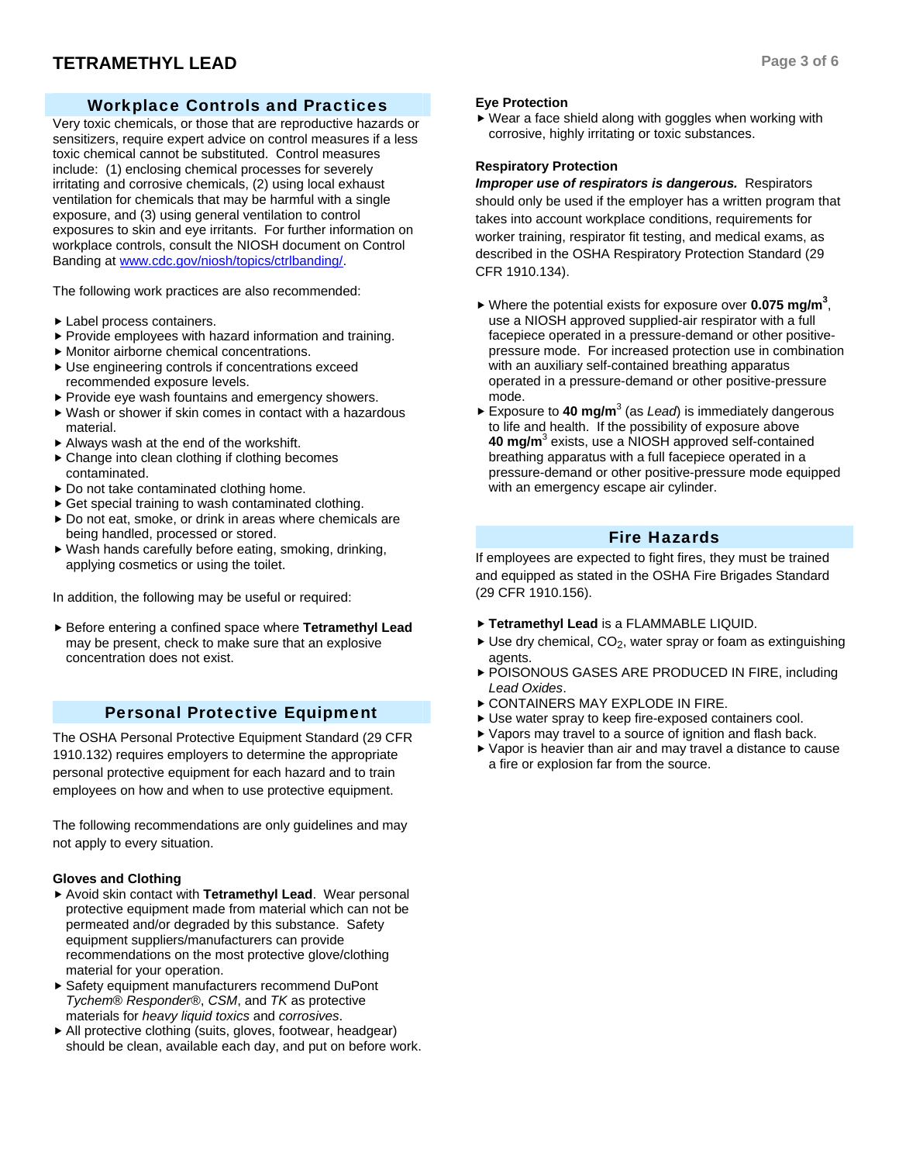## Workplace Controls and Practices

Very toxic chemicals, or those that are reproductive hazards or sensitizers, require expert advice on control measures if a less toxic chemical cannot be substituted. Control measures include: (1) enclosing chemical processes for severely irritating and corrosive chemicals, (2) using local exhaust ventilation for chemicals that may be harmful with a single exposure, and (3) using general ventilation to control exposures to skin and eye irritants. For further information on workplace controls, consult the NIOSH document on Control Banding at www.cdc.gov/niosh/topics/ctrlbanding/.

The following work practices are also recommended:

- $\blacktriangleright$  Label process containers.
- $\blacktriangleright$  Provide employees with hazard information and training.
- $\blacktriangleright$  Monitor airborne chemical concentrations.
- $\blacktriangleright$  Use engineering controls if concentrations exceed recommended exposure levels.
- $\blacktriangleright$  Provide eye wash fountains and emergency showers.
- $\blacktriangleright$  Wash or shower if skin comes in contact with a hazardous material.
- $\blacktriangleright$  Always wash at the end of the workshift.
- $\triangleright$  Change into clean clothing if clothing becomes contaminated.
- $\triangleright$  Do not take contaminated clothing home.
- $\triangleright$  Get special training to wash contaminated clothing.
- $\triangleright$  Do not eat, smoke, or drink in areas where chemicals are being handled, processed or stored.
- $\blacktriangleright$  Wash hands carefully before eating, smoking, drinking, applying cosmetics or using the toilet.

In addition, the following may be useful or required:

▶ Before entering a confined space where **Tetramethyl Lead** may be present, check to make sure that an explosive concentration does not exist.

### Personal Protective Equipment

The OSHA Personal Protective Equipment Standard (29 CFR 1910.132) requires employers to determine the appropriate personal protective equipment for each hazard and to train employees on how and when to use protective equipment.

The following recommendations are only guidelines and may not apply to every situation.

### **Gloves and Clothing**

- ▶ Avoid skin contact with **Tetramethyl Lead**. Wear personal protective equipment made from material which can not be permeated and/or degraded by this substance. Safety equipment suppliers/manufacturers can provide recommendations on the most protective glove/clothing material for your operation.
- ▶ Safety equipment manufacturers recommend DuPont *Tychem*® *Responder*®, *CSM*, and *TK* as protective materials for *heavy liquid toxics* and *corrosives*.
- $\blacktriangleright$  All protective clothing (suits, gloves, footwear, headgear) should be clean, available each day, and put on before work.

#### **Eye Protection**

 $\triangleright$  Wear a face shield along with goggles when working with corrosive, highly irritating or toxic substances.

### **Respiratory Protection**

*Improper use of respirators is dangerous.* Respirators should only be used if the employer has a written program that takes into account workplace conditions, requirements for worker training, respirator fit testing, and medical exams, as described in the OSHA Respiratory Protection Standard (29 CFR 1910.134).

- $\blacktriangleright$  Where the potential exists for exposure over **0.075 mg/m<sup>3</sup>**, use a NIOSH approved supplied-air respirator with a full facepiece operated in a pressure-demand or other positivepressure mode. For increased protection use in combination with an auxiliary self-contained breathing apparatus operated in a pressure-demand or other positive-pressure mode.
- ► Exposure to 40 mg/m<sup>3</sup> (as *Lead*) is immediately dangerous to life and health. If the possibility of exposure above **40 mg/m**<sup>3</sup> exists, use a NIOSH approved self-contained breathing apparatus with a full facepiece operated in a pressure-demand or other positive-pressure mode equipped with an emergency escape air cylinder.

## Fire Hazards

If employees are expected to fight fires, they must be trained and equipped as stated in the OSHA Fire Brigades Standard (29 CFR 1910.156).

- **Fetramethyl Lead** is a FLAMMABLE LIQUID.
- $\blacktriangleright$  Use dry chemical, CO<sub>2</sub>, water spray or foam as extinguishing agents.
- ▶ POISONOUS GASES ARE PRODUCED IN FIRE, including *Lead Oxides*.
- **EXPLODE IN FIRE.**
- $\blacktriangleright$  Use water spray to keep fire-exposed containers cool.
- $\blacktriangleright$  Vapors may travel to a source of ignition and flash back.
- $\blacktriangleright$  Vapor is heavier than air and may travel a distance to cause a fire or explosion far from the source.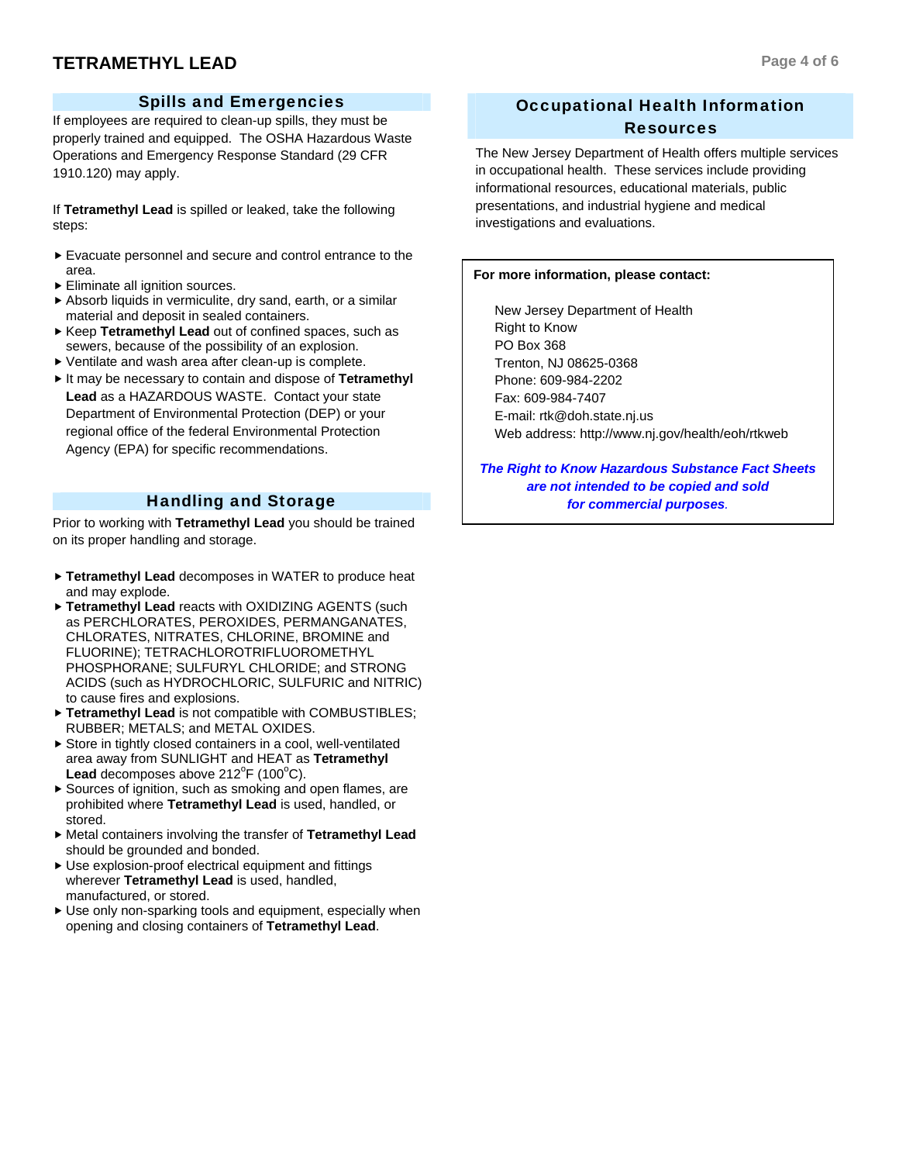# **TETRAMETHYL LEAD Page 4 of 6**

### Spills and Emergencies

If employees are required to clean-up spills, they must be properly trained and equipped. The OSHA Hazardous Waste Operations and Emergency Response Standard (29 CFR 1910.120) may apply.

If **Tetramethyl Lead** is spilled or leaked, take the following steps:

- $\blacktriangleright$  Evacuate personnel and secure and control entrance to the area.
- $\blacktriangleright$  Eliminate all ignition sources.
- $\triangleright$  Absorb liquids in vermiculite, dry sand, earth, or a similar material and deposit in sealed containers.
- ▶ Keep Tetramethyl Lead out of confined spaces, such as sewers, because of the possibility of an explosion.
- $\blacktriangleright$  Ventilate and wash area after clean-up is complete.
- It may be necessary to contain and dispose of Tetramethyl **Lead** as a HAZARDOUS WASTE. Contact your state Department of Environmental Protection (DEP) or your regional office of the federal Environmental Protection Agency (EPA) for specific recommendations.

## Handling and Storage

Prior to working with **Tetramethyl Lead** you should be trained on its proper handling and storage.

- **Fetramethyl Lead** decomposes in WATER to produce heat and may explode.
- **Fetramethyl Lead** reacts with OXIDIZING AGENTS (such as PERCHLORATES, PEROXIDES, PERMANGANATES, CHLORATES, NITRATES, CHLORINE, BROMINE and FLUORINE); TETRACHLOROTRIFLUOROMETHYL PHOSPHORANE; SULFURYL CHLORIDE; and STRONG ACIDS (such as HYDROCHLORIC, SULFURIC and NITRIC) to cause fires and explosions.
- **Fetramethyl Lead** is not compatible with COMBUSTIBLES: RUBBER; METALS; and METAL OXIDES.
- $\triangleright$  Store in tightly closed containers in a cool, well-ventilated area away from SUNLIGHT and HEAT as **Tetramethyl**  Lead decomposes above 212<sup>°</sup>F (100<sup>°</sup>C).
- $\triangleright$  Sources of ignition, such as smoking and open flames, are prohibited where **Tetramethyl Lead** is used, handled, or stored.
- $\blacktriangleright$  Metal containers involving the transfer of Tetramethyl Lead should be grounded and bonded.
- $\blacktriangleright$  Use explosion-proof electrical equipment and fittings wherever **Tetramethyl Lead** is used, handled, manufactured, or stored.
- $\blacktriangleright$  Use only non-sparking tools and equipment, especially when opening and closing containers of **Tetramethyl Lead**.

# Occupational Health Information Resources

The New Jersey Department of Health offers multiple services in occupational health. These services include providing informational resources, educational materials, public presentations, and industrial hygiene and medical investigations and evaluations.

#### **For more information, please contact:**

 New Jersey Department of Health Right to Know PO Box 368 Trenton, NJ 08625-0368 Phone: 609-984-2202 Fax: 609-984-7407 E-mail: rtk@doh.state.nj.us Web address: http://www.nj.gov/health/eoh/rtkweb

*The Right to Know Hazardous Substance Fact Sheets are not intended to be copied and sold for commercial purposes.*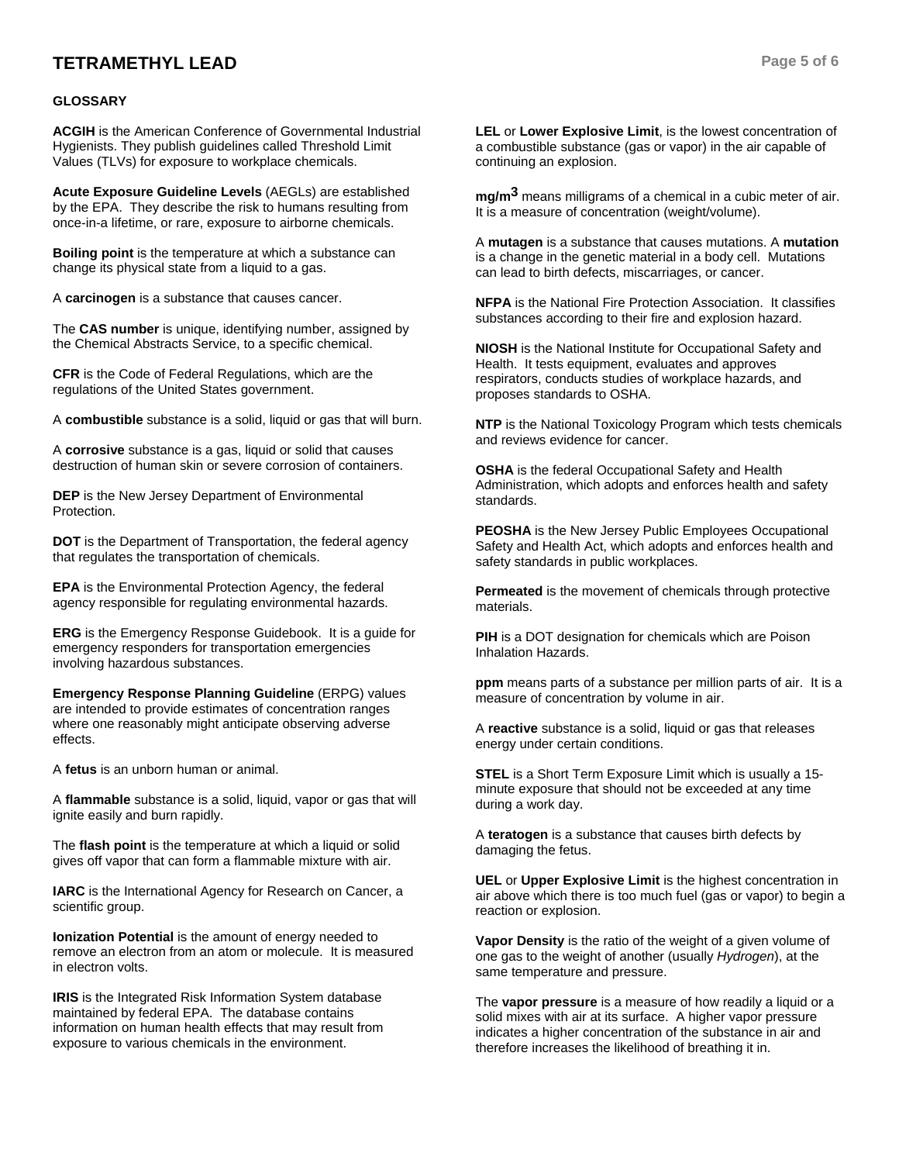# **TETRAMETHYL LEAD Page 5 of 6**

#### **GLOSSARY**

**ACGIH** is the American Conference of Governmental Industrial Hygienists. They publish guidelines called Threshold Limit Values (TLVs) for exposure to workplace chemicals.

**Acute Exposure Guideline Levels** (AEGLs) are established by the EPA. They describe the risk to humans resulting from once-in-a lifetime, or rare, exposure to airborne chemicals.

**Boiling point** is the temperature at which a substance can change its physical state from a liquid to a gas.

A **carcinogen** is a substance that causes cancer.

The **CAS number** is unique, identifying number, assigned by the Chemical Abstracts Service, to a specific chemical.

**CFR** is the Code of Federal Regulations, which are the regulations of the United States government.

A **combustible** substance is a solid, liquid or gas that will burn.

A **corrosive** substance is a gas, liquid or solid that causes destruction of human skin or severe corrosion of containers.

**DEP** is the New Jersey Department of Environmental Protection.

**DOT** is the Department of Transportation, the federal agency that regulates the transportation of chemicals.

**EPA** is the Environmental Protection Agency, the federal agency responsible for regulating environmental hazards.

**ERG** is the Emergency Response Guidebook. It is a guide for emergency responders for transportation emergencies involving hazardous substances.

**Emergency Response Planning Guideline** (ERPG) values are intended to provide estimates of concentration ranges where one reasonably might anticipate observing adverse effects.

A **fetus** is an unborn human or animal.

A **flammable** substance is a solid, liquid, vapor or gas that will ignite easily and burn rapidly.

The **flash point** is the temperature at which a liquid or solid gives off vapor that can form a flammable mixture with air.

**IARC** is the International Agency for Research on Cancer, a scientific group.

**Ionization Potential** is the amount of energy needed to remove an electron from an atom or molecule. It is measured in electron volts.

**IRIS** is the Integrated Risk Information System database maintained by federal EPA. The database contains information on human health effects that may result from exposure to various chemicals in the environment.

**LEL** or **Lower Explosive Limit**, is the lowest concentration of a combustible substance (gas or vapor) in the air capable of continuing an explosion.

**mg/m3** means milligrams of a chemical in a cubic meter of air. It is a measure of concentration (weight/volume).

A **mutagen** is a substance that causes mutations. A **mutation** is a change in the genetic material in a body cell. Mutations can lead to birth defects, miscarriages, or cancer.

**NFPA** is the National Fire Protection Association. It classifies substances according to their fire and explosion hazard.

**NIOSH** is the National Institute for Occupational Safety and Health. It tests equipment, evaluates and approves respirators, conducts studies of workplace hazards, and proposes standards to OSHA.

**NTP** is the National Toxicology Program which tests chemicals and reviews evidence for cancer.

**OSHA** is the federal Occupational Safety and Health Administration, which adopts and enforces health and safety standards.

**PEOSHA** is the New Jersey Public Employees Occupational Safety and Health Act, which adopts and enforces health and safety standards in public workplaces.

**Permeated** is the movement of chemicals through protective materials.

**PIH** is a DOT designation for chemicals which are Poison Inhalation Hazards.

**ppm** means parts of a substance per million parts of air. It is a measure of concentration by volume in air.

A **reactive** substance is a solid, liquid or gas that releases energy under certain conditions.

**STEL** is a Short Term Exposure Limit which is usually a 15 minute exposure that should not be exceeded at any time during a work day.

A **teratogen** is a substance that causes birth defects by damaging the fetus.

**UEL** or **Upper Explosive Limit** is the highest concentration in air above which there is too much fuel (gas or vapor) to begin a reaction or explosion.

**Vapor Density** is the ratio of the weight of a given volume of one gas to the weight of another (usually *Hydrogen*), at the same temperature and pressure.

The **vapor pressure** is a measure of how readily a liquid or a solid mixes with air at its surface. A higher vapor pressure indicates a higher concentration of the substance in air and therefore increases the likelihood of breathing it in.